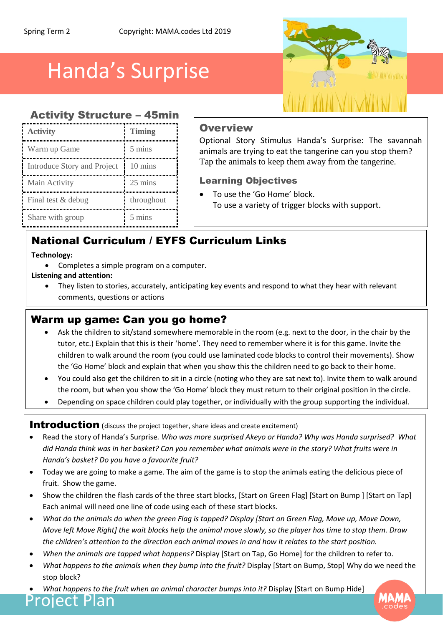# Handa's Surprise

### Activity Structure – 45min

| <b>Activity</b>             | <b>Timing</b> |
|-----------------------------|---------------|
| Warm up Game                | 5 mins        |
| Introduce Story and Project | 10 mins       |
| Main Activity               | 25 mins       |
| Final test & debug          | throughout    |
| Share with group            | 5 mins        |

### **Overview**

Optional Story Stimulus Handa's Surprise: The savannah animals are trying to eat the tangerine can you stop them? Tap the animals to keep them away from the tangerine.

MINVIYIIN

#### Learning Objectives

 To use the 'Go Home' block. To use a variety of trigger blocks with support.

# National Curriculum / EYFS Curriculum Links

#### **Technology:**

Completes a simple program on a computer.

#### **Listening and attention:**

 They listen to stories, accurately, anticipating key events and respond to what they hear with relevant comments, questions or actions

# Warm up game: Can you go home?

- Ask the children to sit/stand somewhere memorable in the room (e.g. next to the door, in the chair by the tutor, etc.) Explain that this is their 'home'. They need to remember where it is for this game. Invite the children to walk around the room (you could use laminated code blocks to control their movements). Show the 'Go Home' block and explain that when you show this the children need to go back to their home.
- You could also get the children to sit in a circle (noting who they are sat next to). Invite them to walk around the room, but when you show the 'Go Home' block they must return to their original position in the circle.
- Depending on space children could play together, or individually with the group supporting the individual.

#### Introduction (discuss the project together, share ideas and create excitement)

- Read the story of Handa's Surprise*. Who was more surprised Akeyo or Handa? Why was Handa surprised? What did Handa think was in her basket? Can you remember what animals were in the story? What fruits were in Handa's basket? Do you have a favourite fruit?*
- Today we are going to make a game. The aim of the game is to stop the animals eating the delicious piece of fruit. Show the game.
- Show the children the flash cards of the three start blocks, [Start on Green Flag] [Start on Bump ] [Start on Tap] Each animal will need one line of code using each of these start blocks.
- *What do the animals do when the green Flag is tapped? Display [Start on Green Flag, Move up, Move Down, Move left Move Right] the wait blocks help the animal move slowly, so the player has time to stop them. Draw the children's attention to the direction each animal moves in and how it relates to the start position.*
- *When the animals are tapped what happens?* Display [Start on Tap, Go Home] for the children to refer to.
- *What happens to the animals when they bump into the fruit?* Display [Start on Bump, Stop] Why do we need the stop block?
- *What happens to the fruit when an animal character bumps into it?* Display [Start on Bump Hide] Project Plan